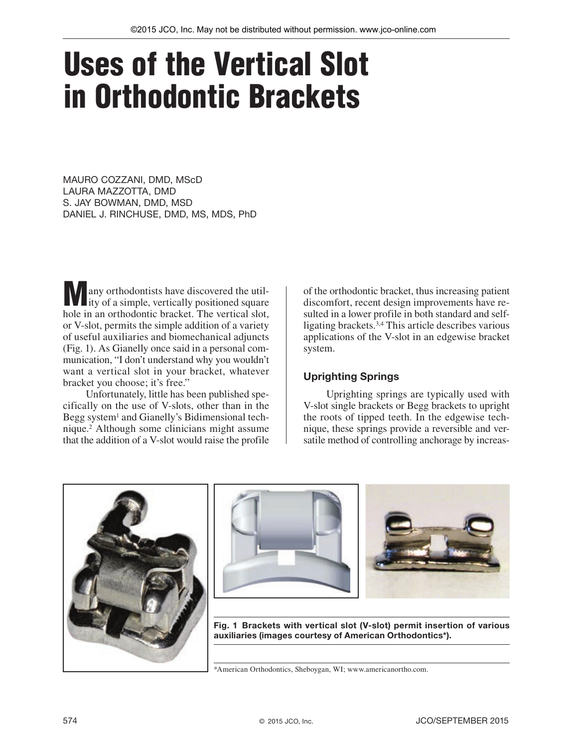# Uses of the Vertical Slot in Orthodontic Brackets

MAURO COZZANI, DMD, MScD LAURA MAZZOTTA, DMD S. JAY BOWMAN, DMD, MSD DANIEL J. RINCHUSE, DMD, MS, MDS, PhD

**Many orthodontists have discovered the util-**<br>ity of a simple, vertically positioned square hole in an orthodontic bracket. The vertical slot, or V-slot, permits the simple addition of a variety of useful auxiliaries and biomechanical adjuncts (Fig. 1). As Gianelly once said in a personal communication, "I don't understand why you wouldn't want a vertical slot in your bracket, whatever bracket you choose; it's free."

Unfortunately, little has been published specifically on the use of V-slots, other than in the Begg system<sup>1</sup> and Gianelly's Bidimensional technique.2 Although some clinicians might assume that the addition of a V-slot would raise the profile

of the orthodontic bracket, thus increasing patient discomfort, recent design improvements have resulted in a lower profile in both standard and selfligating brackets.3,4 This article describes various applications of the V-slot in an edgewise bracket system.

## Uprighting Springs

Uprighting springs are typically used with V-slot single brackets or Begg brackets to upright the roots of tipped teeth. In the edgewise technique, these springs provide a reversible and versatile method of controlling anchorage by increas-







Fig. 1 Brackets with vertical slot (V-slot) permit insertion of various auxiliaries (images courtesy of American Orthodontics\*).

\*American Orthodontics, Sheboygan, WI; www.americanortho.com.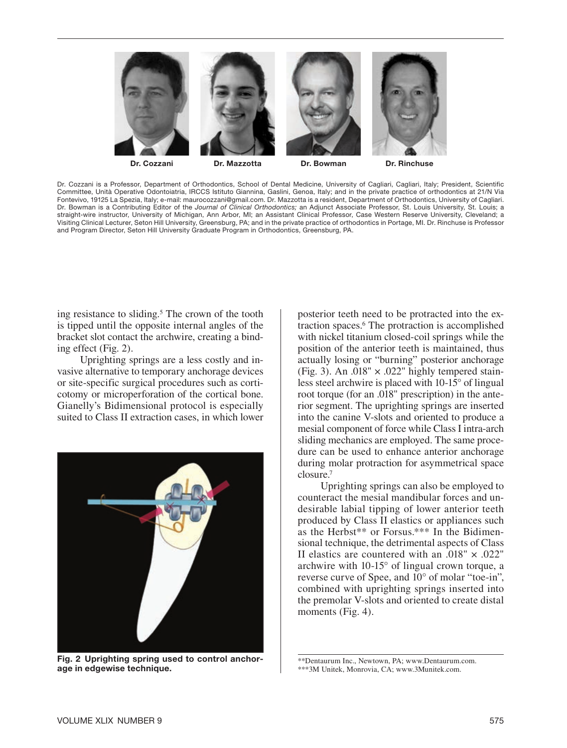

Dr. Cozzani is a Professor, Department of Orthodontics, School of Dental Medicine, University of Cagliari, Cagliari, Italy; President, Scientific Committee, Unità Operative Odontoiatria, IRCCS Istituto Giannina, Gaslini, Genoa, Italy; and in the private practice of orthodontics at 21/N Via Fontevivo, 19125 La Spezia, Italy; e-mail: maurocozzani@gmail.com. Dr. Mazzotta is a resident, Department of Orthodontics, University of Cagliari. Dr. Bowman is a Contributing Editor of the *Journal of Clinical Orthodontics;* an Adjunct Associate Professor, St. Louis University, St. Louis; a straight-wire instructor, University of Michigan, Ann Arbor, MI; an Assistant Clinical Professor, Case Western Reserve University, Cleveland; a Visiting Clinical Lecturer, Seton Hill University, Greensburg, PA; and in the private practice of orthodontics in Portage, MI. Dr. Rinchuse is Professor and Program Director, Seton Hill University Graduate Program in Orthodontics, Greensburg, PA.

ing resistance to sliding.<sup>5</sup> The crown of the tooth is tipped until the opposite internal angles of the bracket slot contact the archwire, creating a binding effect (Fig. 2).

Uprighting springs are a less costly and invasive alternative to temporary anchorage devices or site-specific surgical procedures such as corticotomy or microperforation of the cortical bone. Gianelly's Bidimensional protocol is especially suited to Class II extraction cases, in which lower



Fig. 2 Uprighting spring used to control anchorage in edgewise technique.

posterior teeth need to be protracted into the extraction spaces.6 The protraction is accomplished with nickel titanium closed-coil springs while the position of the anterior teeth is maintained, thus actually losing or "burning" posterior anchorage (Fig. 3). An .018"  $\times$  .022" highly tempered stainless steel archwire is placed with 10-15° of lingual root torque (for an .018" prescription) in the anterior segment. The uprighting springs are inserted into the canine V-slots and oriented to produce a mesial component of force while Class I intra-arch sliding mechanics are employed. The same procedure can be used to enhance anterior anchorage during molar protraction for asymmetrical space closure.7

Uprighting springs can also be employed to counteract the mesial mandibular forces and undesirable labial tipping of lower anterior teeth produced by Class II elastics or appliances such as the Herbst\*\* or Forsus.\*\*\* In the Bidimensional technique, the detrimental aspects of Class II elastics are countered with an .018" × .022" archwire with 10-15° of lingual crown torque, a reverse curve of Spee, and 10° of molar "toe-in", combined with uprighting springs inserted into the premolar V-slots and oriented to create distal moments (Fig. 4).

<sup>\*\*</sup>Dentaurum Inc., Newtown, PA; www.Dentaurum.com. \*\*\*3M Unitek, Monrovia, CA; www.3Munitek.com.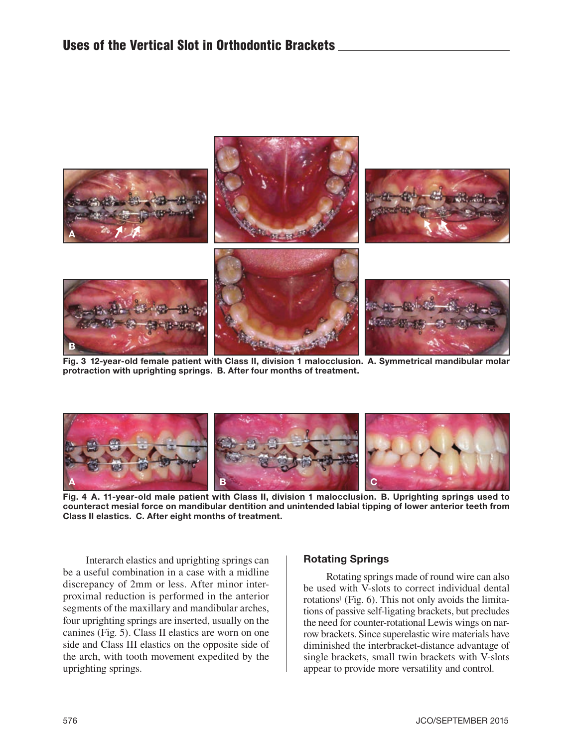

Fig. 3 12-year-old female patient with Class II, division 1 malocclusion. A. Symmetrical mandibular molar protraction with uprighting springs. B. After four months of treatment.



Fig. 4 A. 11-year-old male patient with Class II, division 1 malocclusion. B. Uprighting springs used to counteract mesial force on mandibular dentition and unintended labial tipping of lower anterior teeth from Class II elastics. C. After eight months of treatment.

Interarch elastics and uprighting springs can be a useful combination in a case with a midline discrepancy of 2mm or less. After minor interproximal reduction is performed in the anterior segments of the maxillary and mandibular arches, four uprighting springs are inserted, usually on the canines (Fig. 5). Class II elastics are worn on one side and Class III elastics on the opposite side of the arch, with tooth movement expedited by the uprighting springs.

#### Rotating Springs

Rotating springs made of round wire can also be used with V-slots to correct individual dental rotations<sup>1</sup> (Fig.  $6$ ). This not only avoids the limitations of passive self-ligating brackets, but precludes the need for counter-rotational Lewis wings on narrow brackets. Since superelastic wire materials have diminished the interbracket-distance advantage of single brackets, small twin brackets with V-slots appear to provide more versatility and control.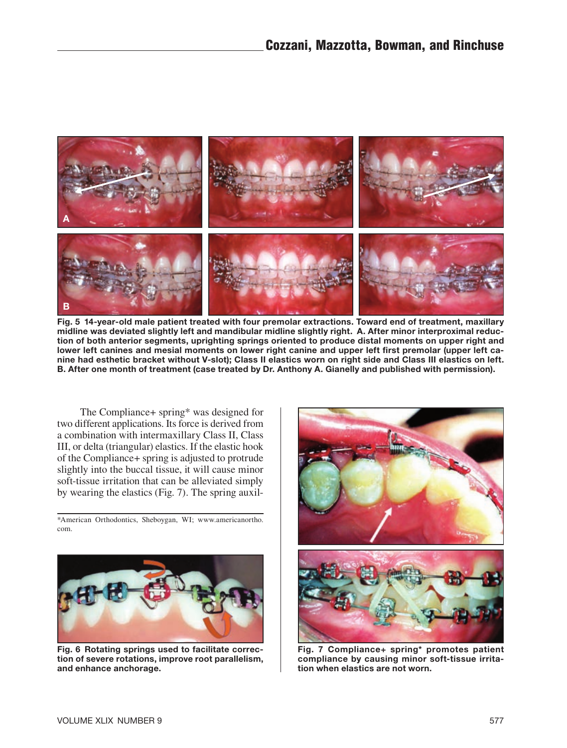

Fig. 5 14-year-old male patient treated with four premolar extractions. Toward end of treatment, maxillary midline was deviated slightly left and mandibular midline slightly right. A. After minor interproximal reduction of both anterior segments, uprighting springs oriented to produce distal moments on upper right and lower left canines and mesial moments on lower right canine and upper left first premolar (upper left canine had esthetic bracket without V-slot); Class II elastics worn on right side and Class III elastics on left. B. After one month of treatment (case treated by Dr. Anthony A. Gianelly and published with permission).

The Compliance+ spring\* was designed for two different applications. Its force is derived from a combination with intermaxillary Class II, Class III, or delta (triangular) elastics. If the elastic hook of the Compliance+ spring is adjusted to protrude slightly into the buccal tissue, it will cause minor soft-tissue irritation that can be alleviated simply by wearing the elastics (Fig. 7). The spring auxil-

\*American Orthodontics, Sheboygan, WI; www.americanortho. com.



Fig. 6 Rotating springs used to facilitate correction of severe rotations, improve root parallelism, and enhance anchorage.



Fig. 7 Compliance+ spring\* promotes patient compliance by causing minor soft-tissue irritation when elastics are not worn.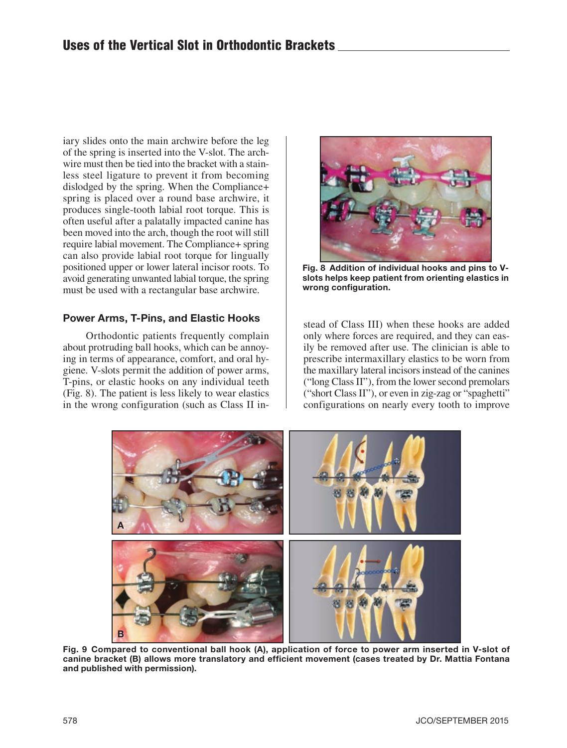iary slides onto the main archwire before the leg of the spring is inserted into the V-slot. The archwire must then be tied into the bracket with a stainless steel ligature to prevent it from becoming dislodged by the spring. When the Compliance+ spring is placed over a round base archwire, it produces single-tooth labial root torque. This is often useful after a palatally impacted canine has been moved into the arch, though the root will still require labial movement. The Compliance+ spring can also provide labial root torque for lingually positioned upper or lower lateral incisor roots. To avoid generating unwanted labial torque, the spring must be used with a rectangular base archwire.

### Power Arms, T-Pins, and Elastic Hooks

Orthodontic patients frequently complain about protruding ball hooks, which can be annoying in terms of appearance, comfort, and oral hygiene. V-slots permit the addition of power arms, T-pins, or elastic hooks on any individual teeth (Fig. 8). The patient is less likely to wear elastics in the wrong configuration (such as Class II in-



Fig. 8 Addition of individual hooks and pins to Vslots helps keep patient from orienting elastics in wrong configuration.

stead of Class III) when these hooks are added only where forces are required, and they can easily be removed after use. The clinician is able to prescribe intermaxillary elastics to be worn from the maxillary lateral incisors instead of the canines ("long Class II"), from the lower second premolars ("short Class II"), or even in zig-zag or "spaghetti" configurations on nearly every tooth to improve



Fig. 9 Compared to conventional ball hook (A), application of force to power arm inserted in V-slot of canine bracket (B) allows more translatory and efficient movement (cases treated by Dr. Mattia Fontana and published with permission).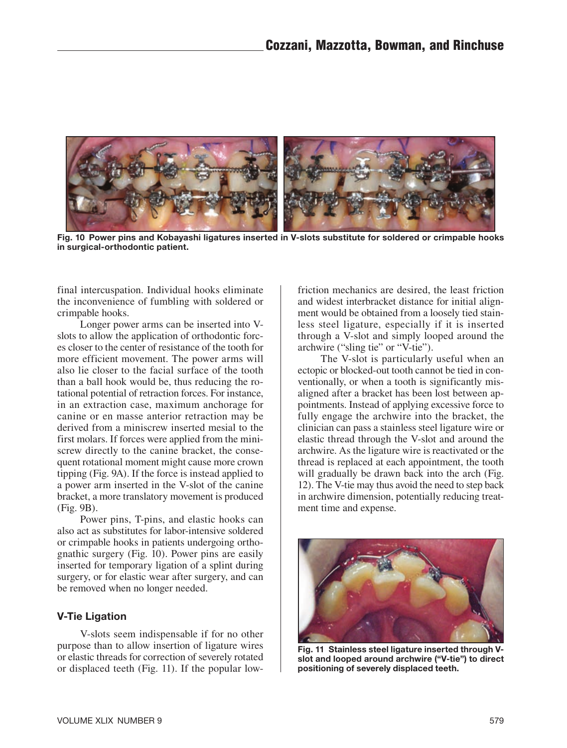

Fig. 10 Power pins and Kobayashi ligatures inserted in V-slots substitute for soldered or crimpable hooks in surgical-orthodontic patient.

final intercuspation. Individual hooks eliminate the inconvenience of fumbling with soldered or crimpable hooks.

Longer power arms can be inserted into Vslots to allow the application of orthodontic forces closer to the center of resistance of the tooth for more efficient movement. The power arms will also lie closer to the facial surface of the tooth than a ball hook would be, thus reducing the rotational potential of retraction forces. For instance, in an extraction case, maximum anchorage for canine or en masse anterior retraction may be derived from a miniscrew inserted mesial to the first molars. If forces were applied from the miniscrew directly to the canine bracket, the consequent rotational moment might cause more crown tipping (Fig. 9A). If the force is instead applied to a power arm inserted in the V-slot of the canine bracket, a more translatory movement is produced (Fig. 9B).

Power pins, T-pins, and elastic hooks can also act as substitutes for labor-intensive soldered or crimpable hooks in patients undergoing orthognathic surgery (Fig. 10). Power pins are easily inserted for temporary ligation of a splint during surgery, or for elastic wear after surgery, and can be removed when no longer needed.

#### V-Tie Ligation

V-slots seem indispensable if for no other purpose than to allow insertion of ligature wires or elastic threads for correction of severely rotated or displaced teeth (Fig. 11). If the popular lowfriction mechanics are desired, the least friction and widest interbracket distance for initial alignment would be obtained from a loosely tied stainless steel ligature, especially if it is inserted through a V-slot and simply looped around the archwire ("sling tie" or "V-tie").

The V-slot is particularly useful when an ectopic or blocked-out tooth cannot be tied in conventionally, or when a tooth is significantly misaligned after a bracket has been lost between appointments. Instead of applying excessive force to fully engage the archwire into the bracket, the clinician can pass a stainless steel ligature wire or elastic thread through the V-slot and around the archwire. As the ligature wire is reactivated or the thread is replaced at each appointment, the tooth will gradually be drawn back into the arch (Fig. 12). The V-tie may thus avoid the need to step back in archwire dimension, potentially reducing treatment time and expense.



Fig. 11 Stainless steel ligature inserted through Vslot and looped around archwire ("V-tie") to direct positioning of severely displaced teeth.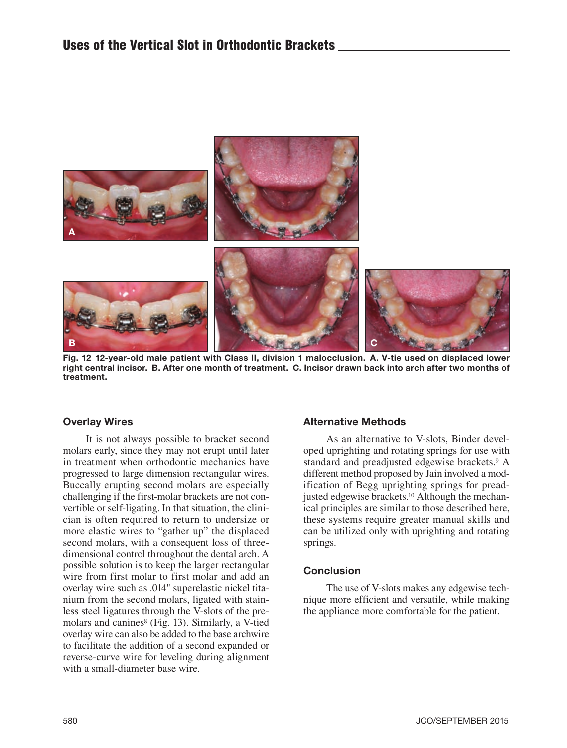

Fig. 12 12-year-old male patient with Class II, division 1 malocclusion. A. V-tie used on displaced lower right central incisor. B. After one month of treatment. C. Incisor drawn back into arch after two months of treatment.

#### Overlay Wires

It is not always possible to bracket second molars early, since they may not erupt until later in treatment when orthodontic mechanics have progressed to large dimension rectangular wires. Buccally erupting second molars are especially challenging if the first-molar brackets are not convertible or self-ligating. In that situation, the clinician is often required to return to undersize or more elastic wires to "gather up" the displaced second molars, with a consequent loss of threedimensional control throughout the dental arch. A possible solution is to keep the larger rectangular wire from first molar to first molar and add an overlay wire such as .014" superelastic nickel titanium from the second molars, ligated with stainless steel ligatures through the V-slots of the premolars and canines $^{8}$  (Fig. 13). Similarly, a V-tied overlay wire can also be added to the base archwire to facilitate the addition of a second expanded or reverse-curve wire for leveling during alignment with a small-diameter base wire.

#### Alternative Methods

As an alternative to V-slots, Binder developed uprighting and rotating springs for use with standard and preadjusted edgewise brackets.<sup>9</sup> A different method proposed by Jain involved a modification of Begg uprighting springs for preadjusted edgewise brackets.<sup>10</sup> Although the mechanical principles are similar to those described here, these systems require greater manual skills and can be utilized only with uprighting and rotating springs.

#### **Conclusion**

The use of V-slots makes any edgewise technique more efficient and versatile, while making the appliance more comfortable for the patient.